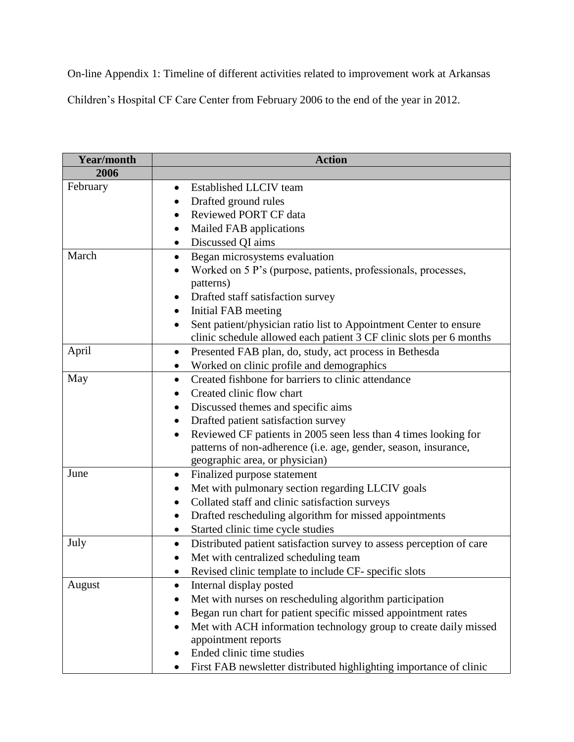On-line Appendix 1: Timeline of different activities related to improvement work at Arkansas

Children's Hospital CF Care Center from February 2006 to the end of the year in 2012.

| <b>Year/month</b> | <b>Action</b>                                                                |
|-------------------|------------------------------------------------------------------------------|
| 2006              |                                                                              |
| February          | Established LLCIV team<br>$\bullet$                                          |
|                   | Drafted ground rules                                                         |
|                   | Reviewed PORT CF data<br>$\bullet$                                           |
|                   | Mailed FAB applications<br>$\bullet$                                         |
|                   | Discussed QI aims<br>$\bullet$                                               |
| March             | Began microsystems evaluation                                                |
|                   | Worked on 5 P's (purpose, patients, professionals, processes,                |
|                   | patterns)                                                                    |
|                   | Drafted staff satisfaction survey                                            |
|                   | Initial FAB meeting<br>$\bullet$                                             |
|                   | Sent patient/physician ratio list to Appointment Center to ensure            |
|                   | clinic schedule allowed each patient 3 CF clinic slots per 6 months          |
| April             | Presented FAB plan, do, study, act process in Bethesda<br>$\bullet$          |
|                   | Worked on clinic profile and demographics                                    |
| May               | Created fishbone for barriers to clinic attendance<br>$\bullet$              |
|                   | Created clinic flow chart                                                    |
|                   | Discussed themes and specific aims                                           |
|                   | Drafted patient satisfaction survey                                          |
|                   | Reviewed CF patients in 2005 seen less than 4 times looking for<br>$\bullet$ |
|                   | patterns of non-adherence (i.e. age, gender, season, insurance,              |
|                   | geographic area, or physician)                                               |
| June              | Finalized purpose statement<br>$\bullet$                                     |
|                   | Met with pulmonary section regarding LLCIV goals                             |
|                   | Collated staff and clinic satisfaction surveys<br>$\bullet$                  |
|                   | Drafted rescheduling algorithm for missed appointments<br>$\bullet$          |
|                   | Started clinic time cycle studies                                            |
| July              | Distributed patient satisfaction survey to assess perception of care<br>٠    |
|                   | Met with centralized scheduling team                                         |
|                   | Revised clinic template to include CF- specific slots                        |
| August            | Internal display posted<br>$\bullet$                                         |
|                   | Met with nurses on rescheduling algorithm participation                      |
|                   | Began run chart for patient specific missed appointment rates                |
|                   | Met with ACH information technology group to create daily missed             |
|                   | appointment reports                                                          |
|                   | Ended clinic time studies<br>٠                                               |
|                   | First FAB newsletter distributed highlighting importance of clinic           |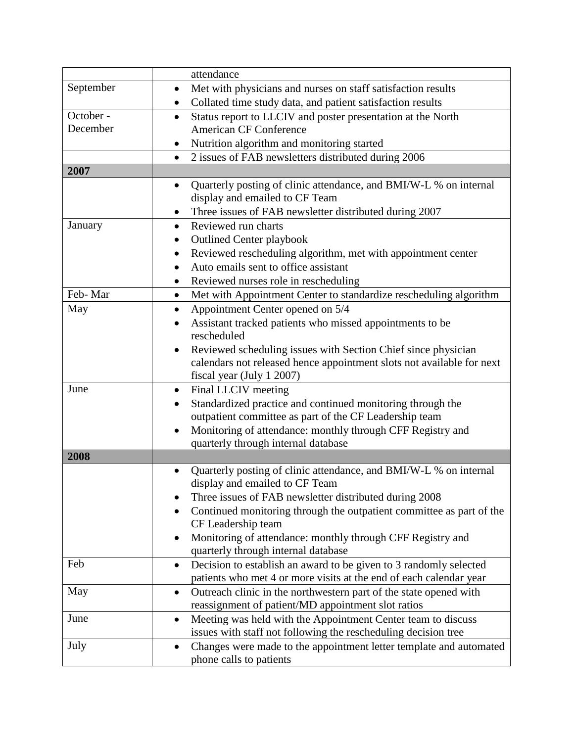|           | attendance                                                                                             |
|-----------|--------------------------------------------------------------------------------------------------------|
| September | Met with physicians and nurses on staff satisfaction results<br>$\bullet$                              |
|           | Collated time study data, and patient satisfaction results                                             |
| October - | Status report to LLCIV and poster presentation at the North<br>$\bullet$                               |
| December  | <b>American CF Conference</b>                                                                          |
|           | Nutrition algorithm and monitoring started<br>٠                                                        |
|           | 2 issues of FAB newsletters distributed during 2006<br>$\bullet$                                       |
| 2007      |                                                                                                        |
|           | Quarterly posting of clinic attendance, and BMI/W-L % on internal<br>$\bullet$                         |
|           | display and emailed to CF Team                                                                         |
|           | Three issues of FAB newsletter distributed during 2007<br>$\bullet$                                    |
| January   | Reviewed run charts<br>$\bullet$                                                                       |
|           | <b>Outlined Center playbook</b><br>$\bullet$                                                           |
|           | Reviewed rescheduling algorithm, met with appointment center<br>$\bullet$                              |
|           | Auto emails sent to office assistant                                                                   |
|           | Reviewed nurses role in rescheduling                                                                   |
| Feb-Mar   | Met with Appointment Center to standardize rescheduling algorithm<br>$\bullet$                         |
| May       | Appointment Center opened on 5/4<br>$\bullet$                                                          |
|           | Assistant tracked patients who missed appointments to be<br>$\bullet$                                  |
|           | rescheduled                                                                                            |
|           | Reviewed scheduling issues with Section Chief since physician                                          |
|           | calendars not released hence appointment slots not available for next                                  |
|           | fiscal year (July 1 2007)                                                                              |
| June      | Final LLCIV meeting<br>$\bullet$                                                                       |
|           | Standardized practice and continued monitoring through the<br>$\bullet$                                |
|           | outpatient committee as part of the CF Leadership team                                                 |
|           | Monitoring of attendance: monthly through CFF Registry and<br>٠<br>quarterly through internal database |
| 2008      |                                                                                                        |
|           | Quarterly posting of clinic attendance, and BMI/W-L % on internal<br>$\bullet$                         |
|           | display and emailed to CF Team                                                                         |
|           | Three issues of FAB newsletter distributed during 2008                                                 |
|           | Continued monitoring through the outpatient committee as part of the<br>$\bullet$                      |
|           | CF Leadership team                                                                                     |
|           | Monitoring of attendance: monthly through CFF Registry and<br>٠                                        |
|           | quarterly through internal database                                                                    |
| Feb       | Decision to establish an award to be given to 3 randomly selected<br>$\bullet$                         |
|           | patients who met 4 or more visits at the end of each calendar year                                     |
| May       | Outreach clinic in the northwestern part of the state opened with<br>$\bullet$                         |
|           | reassignment of patient/MD appointment slot ratios                                                     |
| June      | Meeting was held with the Appointment Center team to discuss<br>$\bullet$                              |
|           | issues with staff not following the rescheduling decision tree                                         |
| July      | Changes were made to the appointment letter template and automated<br>$\bullet$                        |
|           | phone calls to patients                                                                                |